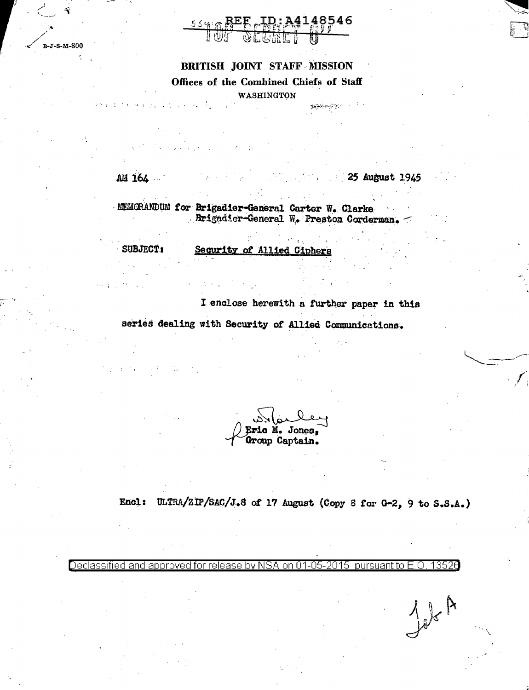

# BRITISH JOINT STAFF MISSION

Offices of the Combined Chiefs of Staff

**WASHINGTON** 

**TEAM ATE** 

 $\sim$   $\frac{1}{2}$ 

AM 164

 $\frac{1}{2}$  ,  $\frac{1}{2}$  ,  $\frac{1}{2}$  ,  $\frac{1}{2}$  ,

 $B-J-S-M-800$ 

25 August 1945

 $J_{ab}$ A

MEMORANDUM for Brigadier-General Carter W. Clarke Brigadier-General W. Preston Corderman.

SUBJECT:

 $\sim 1400$ 

Security of Allied Ciphers

I enclose herewith a further paper in this series dealing with Security of Allied Communications.

ic M. Jones. Group Captain.

Encl: ULTRA/ZIP/SAC/J.8 of 17 August (Copy 8 for G-2, 9 to S.S.A.)

Declassified and approved for release by NSA on 01-05-2015 pursuant to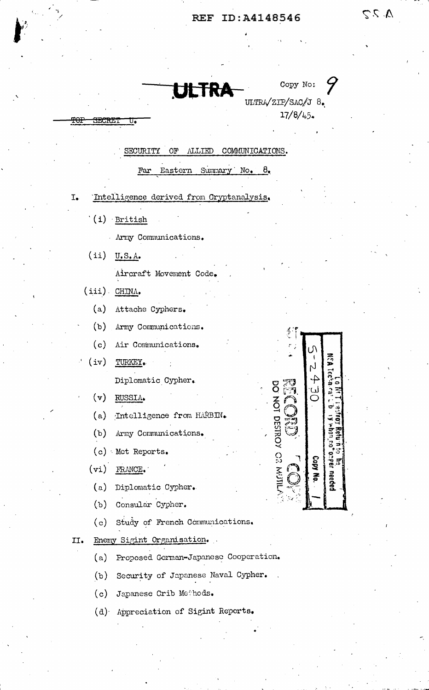**ULTRA** 

ULTRA/ZIP/SAC/J 8.  $17/8/45$ 

Copy No:

 $25V$ 

# SECURITY OF ALLIED COMMUNICATIONS.

Far Eastern Summary No. 8.

- Intelligence derived from Cryptanalysis.  $\mathbb{I}_\bullet$ 
	- $(i)$  British

**SECRET** 

<del>TOI</del>

- Army Communications.
- $(ii)$  U.S.A.

Aircraft Movement Code.

- $(iii)$  CHINA.
	- (a) Attache Cyphers.
	- $(b)$ Army Communications.
	- (c) Air Communications.
- $(iv)$ TURKEY. Diplomatic Cypher.
	- $(v)$ RUSSIA.

Intelligence from HARBIN.  $(a)$ 

 $(b)$ Army Communications.

- (c) Met Reports.
- $(vi)$  FRANCE.
	- (a) Diplomatic Cypher.
	- (b) Consular Cypher.
	- Study of French Communications.  $(c)$
- Enemy Sigint Organisation.  $II.$ 
	- (a) Proposed German-Japanese Cooperation.
	- (b) Security of Japanese Naval Cypher.
	- (c) Japanese Crib Methods.
	- (d) Appreciation of Sigint Reports.

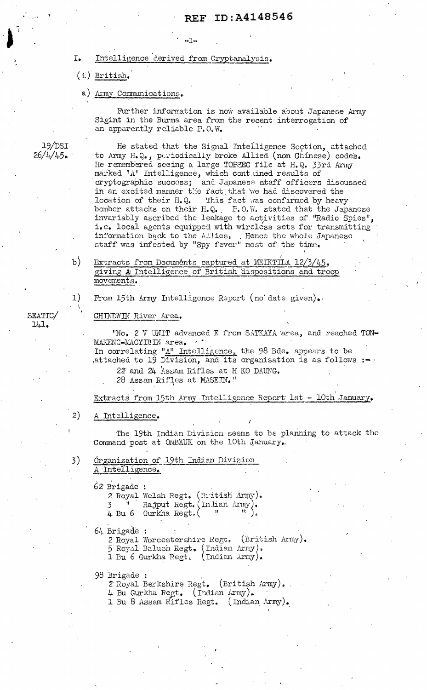#### Intelligence *derived* from Cryptanalysis.  $I_{\bullet}$

 $-1 -$ 

 $(i)$  British.

#### a) Army Communications.

Further information is now available about Japanese Army Sigint in the Burma area from the recent interrogation of an apparently reliable P.O.W.

He stated that the Signal Intelligence Section, attached to Army H.Q., periodically broke Allied (non Chinese) codes. He remembered seeing a large TOPSEC file at H.Q. 33rd Army marked 'A' Intelligence, which contained results of cryptographic success; and Japanese staff officers discussed in an excited manner the fact that we had discovered the location of their H.Q. This fact was confirmed by heavy bomber attacks on their H.Q. P.O.W. stated that the Japanese invariably ascribed the leakage to activities of "Radio Spies", i.e. local agents equipped with wireless sets for transmitting information back to the Allies. Hence the whole Japanese staff was infested by "Spy fever" most of the time.

 $b)$ Extracts from Documents captured at MEIKTILA 12/3/45, giving A Intelligence of British dispositions and troop movements.

From 15th Army Intelligence Report (no date given).

#### CHINDWIN River Area.

"No. 2 V UNIT advanced E from SATKAYA area, and reached TON-MAKENG-MAGYIBIN area.

In correlating "A" Intelligence, the 98 Bde. appears to be attached to 19 Division, and its organisation is as follows :-

22 and 24 Assam Rifles at H KO DAUNG.

28 Assam Rifles at MASEIN."

Extracts from 15th Army Intelligence Report 1st - 10th January.

#### $2)$ A Intelligence.

The 19th Indian Division seems to be planning to attack the Command post at ONBAUK on the 10th January.

Organization of 19th Indian Division A Intelligence.

62 Brigade : 2 Royal Welsh Regt. (British Army). Rajput Regt. (Inlian Army 4 Bu 6 Gurkha Regt.  $($ 

64 Brigade :

2 Royal Worcestershire Regt. (British Army). 5 Royal Baluch Regt. (Indian Army).<br>1 Bu 6 Gurkha Regt. (Indian Army).

98 Brigade :

2 Royal Berkshire Regt. (British Army). 4 Bu Gurkha Regt. (Indian Army). 1 Bu 8 Assam Rifles Regt. (Indian Army).

SEATIC/  $141.$ 

 $1)$ 

3)

 $19/DST$ 

 $26/4/45$ .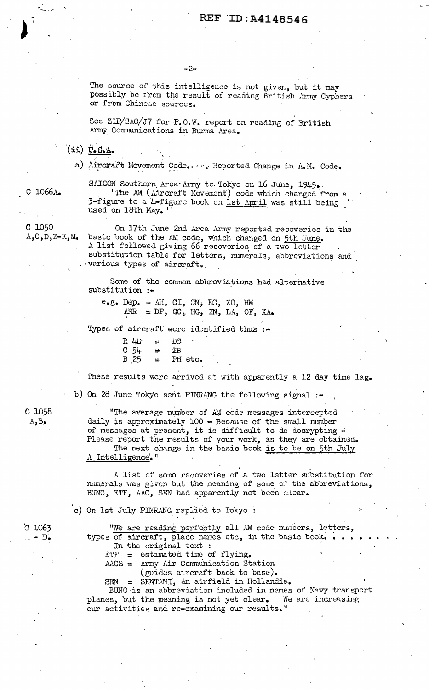The source of this intelligence is not given, but it may possibly be from the result of reading British Army Cyphers or from Chinese sources.

See ZIP/SAC/J7 for P.O.W. report on reading of British Army Communications in Burma Area.

 $(i:i)$   $\overline{y}$ . S. A.

a) Aircraft Movement Code. ... Reported Change in A.M. Code.

 $C$  1066A.

SAIGON Southern Area Army to Tokyo on 16 June, 1945. "The AM (Aircraft Movement) code which changed from a 3-figure to a 4-figure book on 1st April was still being used on 18th May."

C 1050  $A, C, D, E-K, M$ 

On 17th June 2nd Area Army reported recoveries in the basic book of the AM code, which changed on 5th June. A list followed giving 66 recoveries of a two letter substitution table for letters, numerals, abbreviations and various types of aircraft.

Some of the common abbreviations had alternative substitution :-

 $e.g.$  Dep. = AH, CI, CN, EC, XO, HM ARR = DP, GC, HG, IN, LA, OF, XA.

Types of aircraft were identified thus :-

 $R 4D$  $_{\rm DC}$  $=$  $C<sub>54</sub>$  $_{\rm IB}$ 로 B 25 PH etc.

These results were arrived at with apparently a 12 day time lag.

b) On 28 June Tokyo sent PINRANG the following signal :-

 $C$   $1058$  $A, B$ .

"The average number of AM code messages intercepted daily is approximately 100 - Because of the small number of messages at present, it is difficult to do decrypting -Please report the results of your work, as they are obtained. The next change in the basic book is to be on 5th July A Intelligence."

A list of some recoveries of a two letter substitution for numerals was given but the meaning of some of the abbreviations, BUNO, ETF, AAC, SEN had apparently not been alcar.

c) On 1st July PINRANG replied to Tokyo :

 $C$  1063  $-$  D.

"We are reading perfectly all AM code numbers, letters, types of aircraft, place names etc, in the basic book... In the original text :

 $ETF = estimated time of flying.$ 

 $AACS = Army Air Communication Station$ 

(guides aircraft back to base).

SEN = SENTANI, an airfield in Hollandia.

BUNO is an abbreviation included in names of Navy transport planes, but the meaning is not yet clear. We are increasing our activities and re-examining our results."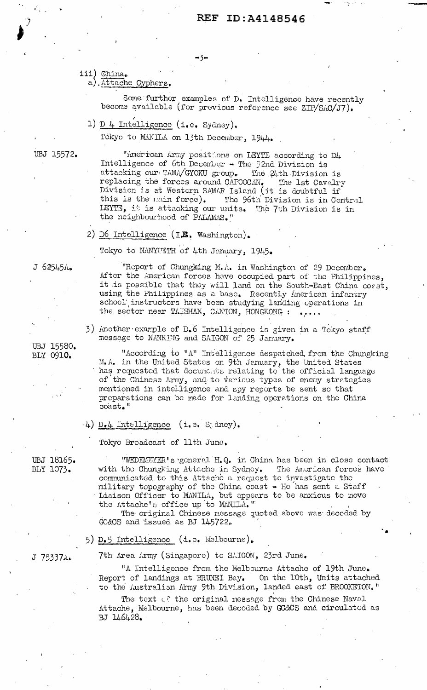# REF ID: A4148546

-3−

iii) China.

a), Attache Cyphers.

Some further examples of D. Intelligence have recently become available (for previous reference see ZIP/SAC/J7).

1)  $D_4$  Intelligence (i.e. Sydney).

Tokyo to MANILA on 13th December, 1944.

UBJ 15572.

"American Army positions on LEYTE according to D4 Intelligence of 6th December - The 52nd Division is attacking our TAMA/GYOKU group. The 24th Division is replacing the forces around CAPOOCAN. The 1st Cavalry<br>Division is at Western SAMAR Island (it is doubtful if The 1st Cavalry this is the main force). The 96th Division is in Central LEYTE, it is attacking our units. The 7th Division is in the neighbourhood of PALAMAS."

2) D6 Intelligence (I.B. Washington).

Tokyo to NANYUETH of 4th January, 1945.

the sector near TAISHAN, CANTON, HONGKONG :

message to NANKING and SAIGON of 25 January.

J 62545A.

UBJ 15580. BLY 0910.

"According to "A" Intelligence despatched, from the Chungking M.A. in the United States on 9th January, the United States has requested that documents relating to the official language of the Chinese Army, and to various types of enemy strategies mentioned in intelligence and spy reports be sent so that preparations can be made for landing operations on the China  $\cosh t$ ."

3) Another example of D.6 Intelligence is given in a Tokyo staff

"Report of Chungking M.A. in Washington of 29 December. After the American forces have occupied part of the Philippines, it is possible that they will land on the South-East China coast. using the Philippines as a base. Recently American infantry school instructors have been studying landing operations in

 $\downarrow$ ) D.4 Intelligence (i.e. S dney).

Tokyo Broadcast of 11th June.

UBJ 18165. BLY 1073.

"WEDEMEYER's general H.Q. in China has been in close contact with the Chungking Attache in Sydney. The American forces have communicated to this Attache a request to investigate the military topography of the China coast - He has sent a Staff Liaison Officer to MANILA, but appears to be anxious to move the Attache's office up to MAN, LLA. "

The original Chinese message quoted above was decoded by GC&CS and issued as BJ 145722.

5) D.5 Intelligence (i.e. Melbourne).

7th Area Army (Singapore) to SAIGON, 23rd June.

"A Intelligence from the Melbourne Attache of 19th June. Report of landings at BRUNEI Bay. On the 10th, Units attached to the Australian Army 9th Division, landed east of BROOKETON."

The text of the original message from the Chinese Naval Attache, Melbourne, has been decoded by GC&CS and circulated as BJ 146428.

J 75337A.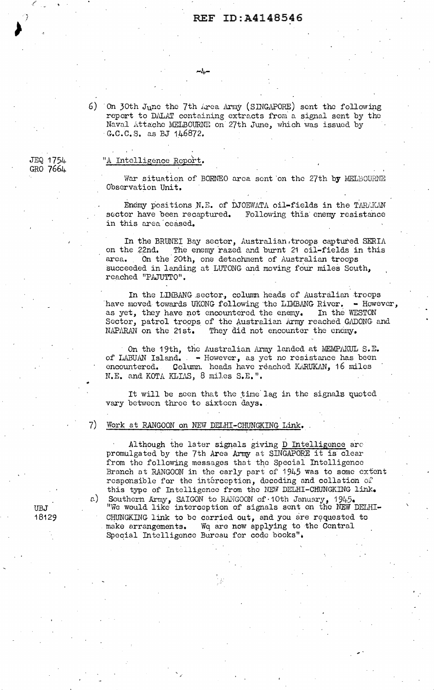6) On 30th June the 7th Area Army (SINGAPORE) sent the following report to DALAT containing extracts from a signal sent by the Naval Attache MELBOURNE on 27th June, which was issued by · G.C.C. S. as BJ 146872.

 $-l_+$ 

#### "A Intelligence Report.

War situation of BORNEO area sent on the 27th by MELBOURNE Observation Unit.

Enemy positions N.E. of DJOEWATA oil-fields in the TARAKAN sector have been recaptured. Following this enemy resistance in this area'coased.

In the BRUNEI Bay sector, Australian, troops captured SERIA on the 22nd. The enemy razed and burnt 21 oil-fields in this area. On the 20th, one detachment of Australian troops succeeded in landing at LUTONG and moving four miles South, reached "PAJUTTO".

In the LIMBANG sector, column heads of Australian troops have moved towards UKONG following the LIMBANG River.  $-$  However, as yet, they have not encountered the enemy. In the WESTON Sector, patrol troops of the Australian Army reached GADONG and NAPARAN on the 21st. They did not encounter the enemy. They did not encounter the enemy.

On the 19th, the Australian Army landed at MEMPAKUL S.E. of LABUAN Island. - However, as yet no resistance has been encountered. Column. heads have reached KARUKAN, 16 miles N.E. and KOTA KLIAS, 8 miles S.E.".

It will be seen that the time lag in the signals quoted vary between three to sixteen days.

#### 7) Work at RANGOON on NEW DELHI-CHUNGKING Link.

,·

Although the later signals giving D Intelligence are promulgated by the 7th Arca Army at SINGAPORE it is clear from the following messages that the Special Intelligence Branch nt RANGOON in the early part of 1945 was to some extent responsible for the interception, decoding and collation of this type of Intelligence from the NEW DELHI-CHUNGKING link. a) Southern Army, SAIGON to RANGOON of 10th January, 1945. "We would like interception of signals sent on the NEW DELHI-CHUNGKING link to be carried out, and you are requested to make arrangements. We are now applying to the Central Wq arc now applying to the Central Speqial Intelligence Bureau for code books"•

JEQ 1754 GRO 7664

*.(* 

UBJ 18129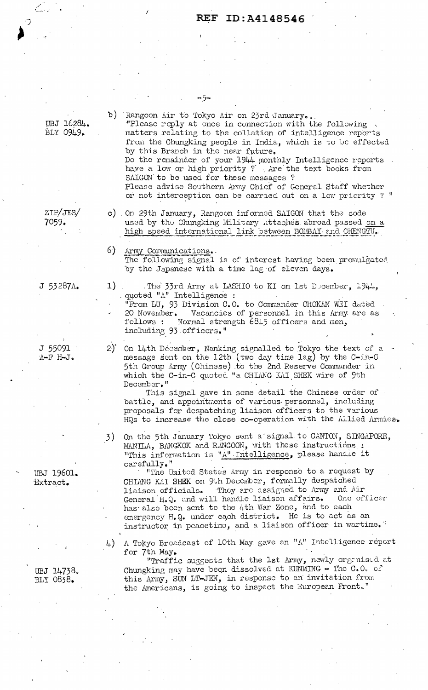دراد b) Rangoon Air to Tokyo Air on 23rd January. UBJ 16284. "Please reply at once in connection with the following BLY 0949. matters relating to the collation of intelligence reports from the Chungking people in India, which is to be effected by this Branch in the near future. Do the remainder of your  $1944$  monthly Intelligence reports have a low or high priority ? Are the text books from SAIGON to be used for these messages ? Please advise Southern Army Chief of General Staff whether or not interception can be carried out on a low priority ? " ZIP/JES/ c) On 29th January, Rangoon informed SAIGON that the code used by the Chungking Military Attaches abroad passed on a high speed international link between BOMBAY and CHENGTU.  $6<sup>5</sup>$ Army Communications. The following signal is of interest having been promulgated by the Japanese with a time lag of eleven days.  $\mathbf{1}$ . The 33rd Army at LASHIO to KI on 1st December, 1944, quoted "A" Intelligence : "From LU, 93 Division C.O. to Commander CHOKAN WEI dated 20 November. Vacancies of personnel in this Army are as follows : Normal strength 6815 officers and men, including 93 officers."  $2^{\circ}$ On 14th December, Nanking signalled to Tokyo the text of a message sent on the 12th (two day time lag) by the C-in-C  $A - F$  H-J. 5th Group Army (Chinese) to the 2nd Reserve Commander in which the C-in-C quoted "a CHIANG KAI SHEK wire of 9th December." This signal gave in some detail the Chinese order of battle, and appointments of various personnel, including proposals for despatching liaison officers to the various HQs to increase the close co-operation with the Allied Armies. On the 5th January Tokyo sent a signal to CANTON, SINGAPORE, 3) MANILA, BANGKOK and RANGOON, with these instructions : "This information is "A" Intelligence, please handle it carefully." "The United States Army in response to a request by CHIANG KAI SHEK on 9th December, formally despatched They are assigned to Army and Air liaison officials. One officer General H.Q. and will handle liaison affairs. has also been sent to the 4th War Zone, and to each energency H.Q. under each district. He is to act as an instructor in peacetime, and a liaison officer in wartime. A Tokyo Broadcast of 10th May gave an "A" Intelligence report  $4)$ for 7th May. "Traffic suggests that the 1st Army, newly organised at Chungking may have been dissolved at KUNMING - The C.O. of this Army, SUN LT-JEN, in response to an invitation from the Americans, is going to inspect the European Front."

7059.

 $J 53287$ <sub>4</sub>

J 55091

UBJ 19601. Extract.

UBJ 14738. BLY 0838.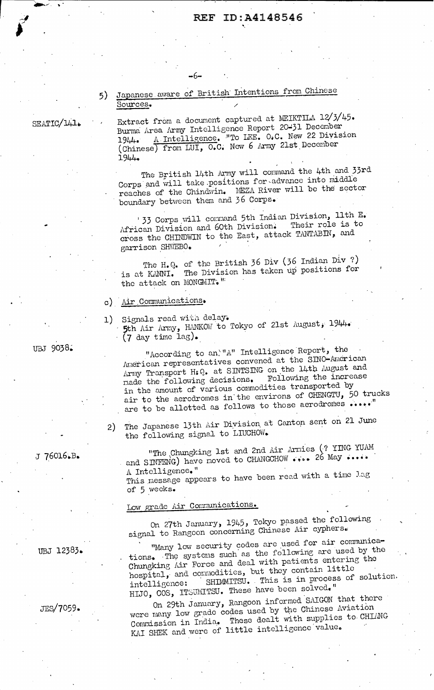# 5) Japanese aware of British Intentions from Chinese Sources. /

-6-

SEATIC/141.

Extract from a document captured at MEIKTILA 12/3/45. Burma Area Army Intelligence Report 20-31 December 1944. A Intelligence. "To LEE. O.C. New 22 Division (Chinese) from LUI, O.C. New 6 Army 21st December 1944.

The British 14th Army will command the 4th and 33rd Corps and will take positions for advance into middle reaches of the Chindwin. MEZA River will be the sector boundary between them and 36 Corps.

133 Corps will command 5th Indian Division, 11th E.<br>Can Division and 60th Division. Their role is to African Division and 60th Division. cross the CHINDWIN to the East, attack TANTABIN, and garrison SHWEBO.

The H.Q. of the British 36 Div (36 Indian Div ?) is at KANNI. The Division has taken up positions for the attack on MONGMIT."

c) Air Communications.

1) Signals read with delay:<br>**5th Air Army, HANKOW** to Tokyo of 21st August, 1944. **(7** day time lag).

"According to an. "A" Intelligence Report, the American representatives convened at the SINO-American Army Transport H: Q. at SINTSING on the 14th August and nade the following decisions. in the amount of various commodities transported by air to the aerodromes in the environs of CHENGTU,  $\overline{50}$  trucks are to be allotted as follows to those aerodromes  $\cdots$ .

2) The Japanese 13th Air Division at Canton sent on 21 June the following signal to LIUCHOW.

The Chungking 1st and 2nd Air Armies (? YING YUAM" and SINFENG) have noved to CHANGCHOW .... 26 May .....

A Intelligence."<br>This message appears to have been read with a time lag of 5 weeks.

Low grade Air Communications.

On 27th January, 1945, Tokyo passed the following signal to Rangoon concerning Chinese Air cyphers.

"Many low security codes are used for air communications. The systems such as the following are used by the Chungking Air Force and deal with patients entering the hospital, and commodities, but they contain little intelligence: SHIMMITSU. This is in process of solution. HIJO, COS, ITSUMITSU. These have been solved."

On 29th January, Rangoon informed SAIGON that there were many low grade codes used by the Chinese Aviation Were many fow grace corners dealt with supplies to CHIANG Commission in India, Those assessed value.

UBJ 9038.

J 76016.B.

JEs/7059.

UBJ 12383.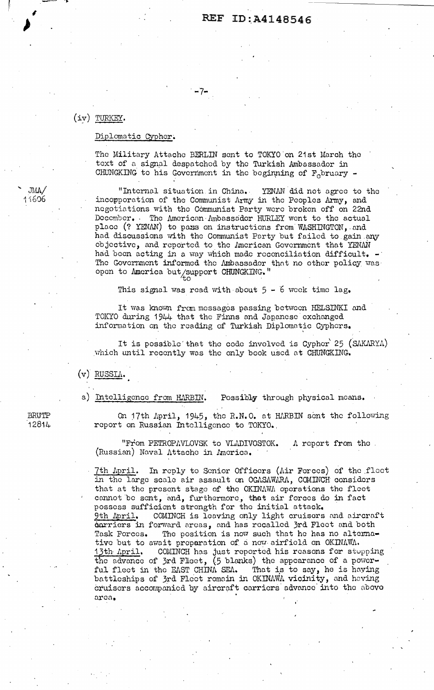# REF ID:A4148546

### (iy) TURKEY.

 $\sim$  ...

I  $\sum_{i=1}^{n}$ 

' JilIJi./ 11:606

#### Diplomatic Cypher.

The Military Attache BERLIN sent to TOKYO on 21st March the text of a signal despatched by the Turkish Ambassador in CHUNGKING to his Government in the beginning of  $F<sub>c</sub>$  bruary -

. -7-

"Internal situation in China.. YENAN did not agree to the incopporation of the Communist Army in the Peoples krmy, and negotiations with the Communist Party were broken off on 22nd December. The American Ambassador HURLEY went to the actual place (? YENAN) to pass on instructions from WASHINGTON, and had discussions with the Communist Party but failed to gain any objective, and reported to the American Government that YENAN had been acting in a way which made reconciliation difficult. The Government informed the Ambassador that no other policy was. open to America but/support CHUNGKING."

This signal was read with about  $5 - 6$  week time lag.

It was known from messages passing between HELSINKI and TOICTO during 1944 that tho Finns and Japanese exchanged information on the reading of Turkish Diplomatic Cyphers.

It is possible that the code involved is Cypher 25 (SAKARYA) which until recently was the only book used at CHUNGKING.

 $(v)$  RUSSI $\Lambda$ .

a) Intelligence from HARBIN. Possibly through physical means.

On 17th April, 1945, the R.N.O. at HARBIN sent the following report on Russian Intelligence to TOKYO.,

"From PETROPAVLOVSK to VLADIVOSTOK. A report from the (Russian) Naval Attache in America.

7th April. In reply to Senior Officers (Air Forces) of the fleet in the large scale air assault on OGASAWARA, COMINCH considers that at the present stage of the OKINAWA operations the fleet cannot be sent, and, furthermore, thot air forces do in fact possess sufficient strength for the initial attack.<br>9th April. COMINCH is leaving only light cruisers COMINCH is leaving only light cruisers and aircraft darriers in forward areas, and has recalled 3rd Fleet and both Task Forces. The position is now such that he has no alterna-The position is now such that he has no alternative but to await preparation of a new airfield on OKINAWA. 13th April. COMINCH has just reported his reasons for stupping the advance of 3rd Flieet,  $(5$  blanks) the appearance of a powerful flect in the EAST CHINA SEA. That is to say, he is having battleships of 3rd Fleet romain in OKINAWA vicinity, and having cruisers accompanied by aircraft carriers advance into the abovo area.

BRUTP 12814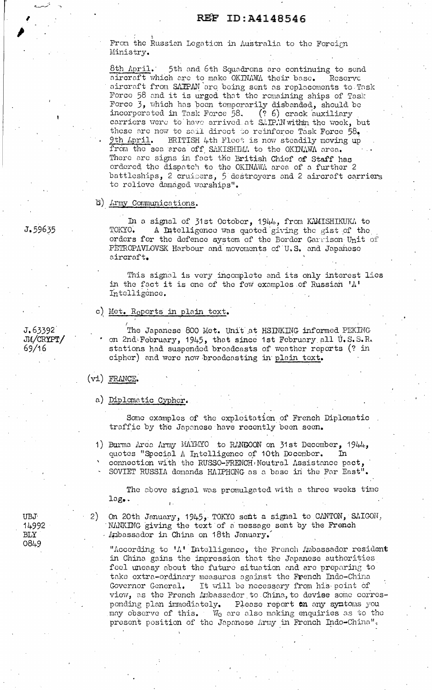From the Russian Legation in Australia to the Foreign Ministry.

8th April. 5th and 6th Squadrons are continuing to send aircraft which are to make OKINAWA their base. Reserve aircraft from SATPAN are being sent as replacements to Task Force 58 and it is urged that the remaining ships of Task Force 3, which has been temporarily disbanded, should be incorporated in Task Force 58. (? 6) crack auxiliary<br>carriers were to have arrived at SAIPAN within the week, but these are now to sail direct to reinforce Task Force 58. BRITISH 4th Fleet is now steadily moving up 9th April. from the sea area off SAKISHIMA to the OKINAWA area. There are signs in fact the British Chief of Staff has ordered the dispatch to the OKINAWA area of a further 2 battleships, 2 cruisers, 5 destroyers and 2 aircraft carriers to relieve damaged warships".

### b) Army Communications.

In a signal of 31st October, 1944, from KAMISHIKUKA to TOKYO. A Intelligence was quoted giving the gist of the orders for the defence system of the Border Garrison Unit of PETROPAVLOVSK Harbour and movements of U.S. and Japaneso aircraft.

This signal is very incomplete and its only interest lies in the fact it is one of the few examples of Russian 'A' Intelligence.

### c) Met. Reports in plain text.

The Japanese 800 Met. Unit at HSINKING informed PEKING on 2nd February, 1945, that since 1st February all U.S.S.R. stations had suspended broadcasts of weather reports (? in cipher) and were now broadcasting in plain text.

#### $(vi)$  FRANCE.

a) Diplomatic Cypher.

Some examples of the exploitation of French Diplomatic traffic by the Japanese have recently been seen.

1) Burma Area Army MAYMYO to RANGOON on 31st December, 1944, quotes "Special A Intelligence of 10th December. connection with the RUSSO-FRENCH Neutral Assistance pact, SOVIET RUSSIA demands HAIPHONG as a base in the Far East".

The above signal was promulgated with a three weeks time  $lag.$ 

UBJ. 14992 **BLY** 0849

On 20th January, 1945, TOKYO sent a signal to CANTON, SAIGON, 2) NANKING giving the text of a message sent by the French Anbassador in China on 18th January.

"According to 'A' Intelligence, the French Ambassador resident in China gains the impression that the Japanese authorities fool uneasy about the future situation and are preparing to take extra-ordinary measures against the French Indo-China Governor General. It will be necessary from his point of view, as the French Ambassador to China, to devise some corresponding plan immediately. Please report an any symtoms you may observe of this. We are also making enquiries as to the present position of the Japanese Army in French Indo-China".

J.59635

 $J.63392$ JM/CRYPT/  $69/16$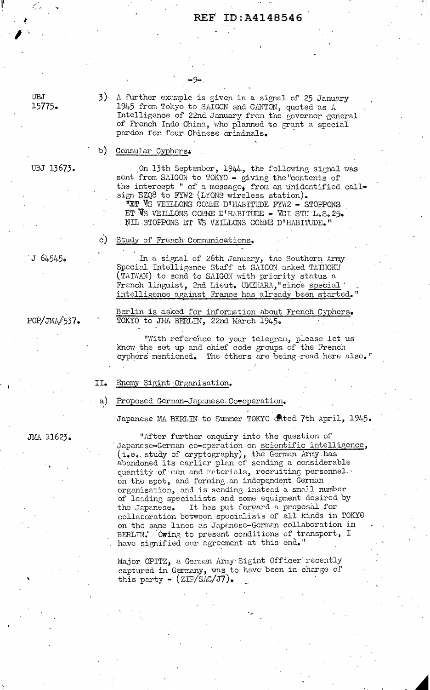## REF ID:A4148546

UBJ 15775.

UBJ 13673.

3) A further example is given in a signal of 25 January 1945 from Tokyo to SAIGON and CANTON, quoted as A Intelligence of 22nd January from the governor general of French Indo China, who planned to grant a special pardon for four Chinese criminals.

#### b) Consular Cyphers.

On 13th September, 1944, the following signal was sent from SAIGON to TOKYO - giving the "contents of the intercept " of a message, from an unidentified callsign EZQ8 to FYW2 (LYONS wireless station). TET VS VEILLONS COMME D'HABITUDE FYW2 - STOPPONS ET VS VEILLONS COMME D'HABITUDE - VCI STU L.S. 25. NIL STOPPONS ET WS VEILLONS COMME D'HABITUDE."

#### c) Study of French Communications.

J 64545.

In a signal of 26th January, the Southern Army Special Intelligence Staff at SAIGON asked TATHOKU (TAIWAN) to send to SAIGON with priority status a French linguist, 2nd Lieut. UMEHARA, since special intelligence against France has already been started."

POP/JMA/537.

Berlin is asked for information about French Cyphers. TOKYO to JMA BERLIN, 22nd March 1945.

"With reference to your telegram, please let us know the set up and chief code groups of the French cyphers mentioned. The others are being read here also."

#### Enemy Sigint Organisation. II.

#### Proposed German-Japanese Coeoperation. a)

Japanese MA BERLIN to Summer TOKYO cated 7th April, 1945.

JMA 11623.

"After further enquiry into the question of Japanese-German co-operation on scientific intelligence, (i.e. study of cryptography), the German Army has abandoned its earlier plan of sending a considerable quantity of men and materials, recruiting personnel. on the spot, and forming an independent German organisation, and is sending instead a small number of leading specialists and some equipment desired by It has put forward a proposal for the Japanese. collaboration between specialists of all kinds in TOKYO on the same lines as Japanesc-German collaboration in BERLIN. Owing to present conditions of transport, I have signified our agreement at this end."

Major OPITZ, a German Army Sigint Officer recently captured in Germany, was to have been in charge of this party  $\sim$  (ZIP/SAC/J7).